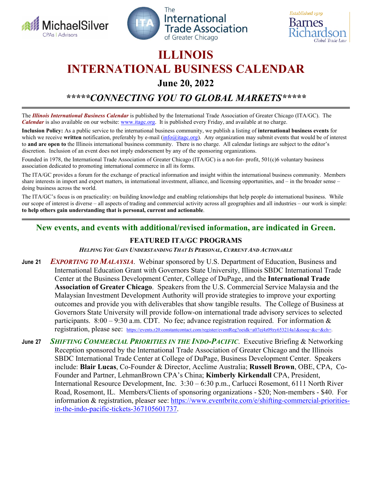





# **ILLINOIS INTERNATIONAL BUSINESS CALENDAR**

**June 20, 2022** 

*\*\*\*\*\*CONNECTING YOU TO GLOBAL MARKETS\*\*\*\*\** 

The *Illinois International Business Calendar* is published by the International Trade Association of Greater Chicago (ITA/GC). The *Calendar* is also available on our website: www.itagc.org. It is published every Friday, and available at no charge.

**Inclusion Policy:** As a public service to the international business community, we publish a listing of **international business events** for which we receive written notification, preferably by e-mail (info@itagc.org). Any organization may submit events that would be of interest to **and are open to** the Illinois international business community. There is no charge. All calendar listings are subject to the editor's discretion. Inclusion of an event does not imply endorsement by any of the sponsoring organizations.

Founded in 1978, the International Trade Association of Greater Chicago (ITA/GC) is a not-for- profit, 501(c)6 voluntary business association dedicated to promoting international commerce in all its forms.

The ITA/GC provides a forum for the exchange of practical information and insight within the international business community. Members share interests in import and export matters, in international investment, alliance, and licensing opportunities, and – in the broader sense – doing business across the world.

The ITA/GC's focus is on practicality: on building knowledge and enabling relationships that help people do international business. While our scope of interest is diverse – all aspects of trading and commercial activity across all geographies and all industries – our work is simple: **to help others gain understanding that is personal, current and actionable**.

### **New events, and events with additional/revised information, are indicated in Green.**

#### **FEATURED ITA/GC PROGRAMS**

*HELPING YOU GAIN UNDERSTANDING THAT IS PERSONAL, CURRENT AND ACTIONABLE*

- **June 21** *EXPORTING TO MALAYSIA*. Webinar sponsored by U.S. Department of Education, Business and International Education Grant with Governors State University, Illinois SBDC International Trade Center at the Business Development Center, College of DuPage, and the **International Trade Association of Greater Chicago**. Speakers from the U.S. Commercial Service Malaysia and the Malaysian Investment Development Authority will provide strategies to improve your exporting outcomes and provide you with deliverables that show tangible results. The College of Business at Governors State University will provide follow-on international trade advisory services to selected participants.  $8:00 - 9:30$  a.m. CDT. No fee; advance registration required. For information & registration, please see: https://events.r20.constantcontact.com/register/eventReg?oeidk=a07ej4z09zy653214a1&oseq=&c=&ch=.
- **June 27** *SHIFTING COMMERCIAL PRIORITIES IN THE INDO-PACIFIC*. Executive Briefing & Networking Reception sponsored by the International Trade Association of Greater Chicago and the Illinois SBDC International Trade Center at College of DuPage, Business Development Center. Speakers include: **Blair Lucas**, Co-Founder & Director, Acclime Australia; **Russell Brown**, OBE, CPA, Co-Founder and Partner, LehmanBrown CPA's China; **Kimberly Kirkendall** CPA, President, International Resource Development, Inc. 3:30 – 6:30 p.m., Carlucci Rosemont, 6111 North River Road, Rosemont, IL. Members/Clients of sponsoring organizations - \$20; Non-members - \$40. For information & registration, pleaser see: https://www.eventbrite.com/e/shifting-commercial-prioritiesin-the-indo-pacific-tickets-367105601737.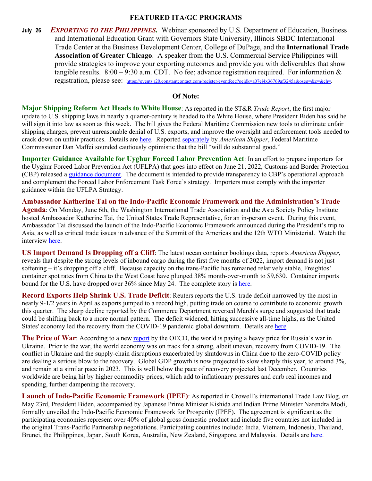#### **FEATURED ITA/GC PROGRAMS**

**July 26** *EXPORTING TO THE PHILIPPINES.*Webinar sponsored by U.S. Department of Education, Business and International Education Grant with Governors State University, Illinois SBDC International Trade Center at the Business Development Center, College of DuPage, and the **International Trade Association of Greater Chicago**. A speaker from the U.S. Commercial Service Philippines will provide strategies to improve your exporting outcomes and provide you with deliverables that show tangible results.  $8:00 - 9:30$  a.m. CDT. No fee; advance registration required. For information  $&$ registration, please see: https://events.r20.constantcontact.com/register/eventReg?oeidk=a07ej4x36769af3245a&oseq=&c=&ch=.

#### **Of Note:**

**Major Shipping Reform Act Heads to White House**: As reported in the ST&R *Trade Report*, the first major update to U.S. shipping laws in nearly a quarter-century is headed to the White House, where President Biden has said he will sign it into law as soon as this week. The bill gives the Federal Maritime Commission new tools to eliminate unfair shipping charges, prevent unreasonable denial of U.S. exports, and improve the oversight and enforcement tools needed to crack down on unfair practices. Details are here. Reported separately by *American Shipper*, Federal Maritime Commissioner Dan Maffei sounded cautiously optimistic that the bill "will do substantial good."

**Importer Guidance Available for Uyghur Forced Labor Prevention Act**: In an effort to prepare importers for the Uyghur Forced Labor Prevention Act (UFLPA) that goes into effect on June 21, 2022, Customs and Border Protection (CBP) released a guidance document. The document is intended to provide transparency to CBP's operational approach and complement the Forced Labor Enforcement Task Force's strategy. Importers must comply with the importer guidance within the UFLPA Strategy.

**Ambassador Katherine Tai on the Indo-Pacific Economic Framework and the Administration's Trade Agenda**: On Monday, June 6th, the Washington International Trade Association and the Asia Society Policy Institute hosted Ambassador Katherine Tai, the United States Trade Representative, for an in-person event. During this event, Ambassador Tai discussed the launch of the Indo-Pacific Economic Framework announced during the President's trip to Asia, as well as critical trade issues in advance of the Summit of the Americas and the 12th WTO Ministerial. Watch the interview here.

**US Import Demand Is Dropping off a Cliff**: The latest ocean container bookings data, reports *American Shipper*, reveals that despite the strong levels of inbound cargo during the first five months of 2022, import demand is not just softening – it's dropping off a cliff. Because capacity on the trans-Pacific has remained relatively stable, Freightos' container spot rates from China to the West Coast have plunged 38% month-over-month to \$9,630. Container imports bound for the U.S. have dropped over 36% since May 24. The complete story is here.

**Record Exports Help Shrink U.S. Trade Deficit**: Reuters reports the U.S. trade deficit narrowed by the most in nearly 9-1/2 years in April as exports jumped to a record high, putting trade on course to contribute to economic growth this quarter. The sharp decline reported by the Commerce Department reversed March's surge and suggested that trade could be shifting back to a more normal pattern. The deficit widened, hitting successive all-time highs, as the United States' economy led the recovery from the COVID-19 pandemic global downturn. Details are here.

**The Price of War**: According to a new report by the OECD, the world is paying a heavy price for Russia's war in Ukraine. Prior to the war, the world economy was on track for a strong, albeit uneven, recovery from COVID-19. The conflict in Ukraine and the supply-chain disruptions exacerbated by shutdowns in China due to the zero-COVID policy are dealing a serious blow to the recovery. Global GDP growth is now projected to slow sharply this year, to around 3%, and remain at a similar pace in 2023. This is well below the pace of recovery projected last December. Countries worldwide are being hit by higher commodity prices, which add to inflationary pressures and curb real incomes and spending, further dampening the recovery.

**Launch of Indo-Pacific Economic Framework (IPEF)**: As reported in Crowell's international Trade Law Blog, on May 23rd, President Biden, accompanied by Japanese Prime Minister Kishida and Indian Prime Minister Narendra Modi, formally unveiled the Indo-Pacific Economic Framework for Prosperity (IPEF). The agreement is significant as the participating economies represent over 40% of global gross domestic product and include five countries not included in the original Trans-Pacific Partnership negotiations. Participating countries include: India, Vietnam, Indonesia, Thailand, Brunei, the Philippines, Japan, South Korea, Australia, New Zealand, Singapore, and Malaysia. Details are here.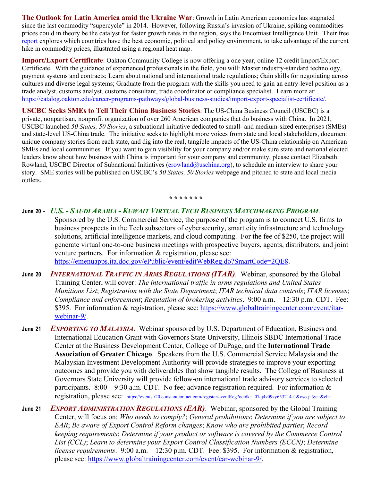**The Outlook for Latin America amid the Ukraine War**: Growth in Latin American economies has stagnated since the last commodity "supercycle" in 2014. However, following Russia's invasion of Ukraine, spiking commodities prices could in theory be the catalyst for faster growth rates in the region, says the Encomiast Intelligence Unit. Their free report explores which countries have the best economic, political and policy environment, to take advantage of the current hike in commodity prices, illustrated using a regional heat map.

**Import/Export Certificate**: Oakton Community College is now offering a one year, online 12 credit Import/Export Certificate. With the guidance of experienced professionals in the field, you will: Master industry-standard technology, payment systems and contracts; Learn about national and international trade regulations; Gain skills for negotiating across cultures and diverse legal systems; Graduate from the program with the skills you need to gain an entry-level position as a trade analyst, customs analyst, customs consultant, trade coordinator or compliance specialist. Learn more at: https://catalog.oakton.edu/career-programs-pathways/global-business-studies/import-export-specialist-certificate/.

**USCBC Seeks SMEs to Tell Their China Business Stories**: The US-China Business Council (USCBC) is a private, nonpartisan, nonprofit organization of over 260 American companies that do business with China. In 2021, USCBC launched *50 States, 50 Stories*, a subnational initiative dedicated to small- and medium-sized enterprises (SMEs) and state-level US-China trade. The initiative seeks to highlight more voices from state and local stakeholders, document unique company stories from each state, and dig into the real, tangible impacts of the US-China relationship on American SMEs and local communities. If you want to gain visibility for your company and/or make sure state and national elected leaders know about how business with China is important for your company and community, please contact Elizabeth Rowland, USCBC Director of Subnational Initiatives (erowland@uschina.org), to schedule an interview to share your story. SME stories will be published on USCBC's *50 States, 50 Stories* webpage and pitched to state and local media outlets.

**\* \* \* \* \* \* \*** 

- **June 20** *U.S. - SAUDI ARABIA - KUWAIT VIRTUAL TECH BUSINESS MATCHMAKING PROGRAM*. Sponsored by the U.S. Commercial Service, the purpose of the program is to connect U.S. firms to business prospects in the Tech subsectors of cybersecurity, smart city infrastructure and technology solutions, artificial intelligence markets, and cloud computing. For the fee of \$250, the project will generate virtual one-to-one business meetings with prospective buyers, agents, distributors, and joint venture partners. For information & registration, please see: https://emenuapps.ita.doc.gov/ePublic/event/editWebReg.do?SmartCode=2QE8.
- **June 20** *INTERNATIONAL TRAFFIC IN ARMS REGULATIONS (ITAR)*. Webinar, sponsored by the Global Training Center, will cover: *The international traffic in arms regulations and United States Munitions List*; *Registration with the State Department*; *ITAR technical data controls*; *ITAR licenses*; *Compliance and enforcement*; *Regulation of brokering activities*. 9:00 a.m. – 12:30 p.m. CDT. Fee: \$395. For information & registration, please see: https://www.globaltrainingcenter.com/event/itarwebinar-9/.
- **June 21** *EXPORTING TO MALAYSIA*. Webinar sponsored by U.S. Department of Education, Business and International Education Grant with Governors State University, Illinois SBDC International Trade Center at the Business Development Center, College of DuPage, and the **International Trade Association of Greater Chicago**. Speakers from the U.S. Commercial Service Malaysia and the Malaysian Investment Development Authority will provide strategies to improve your exporting outcomes and provide you with deliverables that show tangible results. The College of Business at Governors State University will provide follow-on international trade advisory services to selected participants.  $8:00 - 9:30$  a.m. CDT. No fee; advance registration required. For information & registration, please see: https://events.r20.constantcontact.com/register/eventReg?oeidk=a07ej4z09zy653214a1&oseq=&c=&ch=.
- **June 21** *EXPORT ADMINISTRATION REGULATIONS (EAR)*. Webinar, sponsored by the Global Training Center, will focus on: *Who needs to comply?*; *General prohibitions*; *Determine if you are subject to EAR*; *Be aware of Export Control Reform changes*; *Know who are prohibited parties*; *Record keeping requirements*; *Determine if your product or software is covered by the Commerce Control List (CCL)*; *Learn to determine your Export Control Classification Numbers (ECCN)*; *Determine license requirements*. 9:00 a.m. – 12:30 p.m. CDT. Fee: \$395. For information & registration, please see: https://www.globaltrainingcenter.com/event/ear-webinar-9/.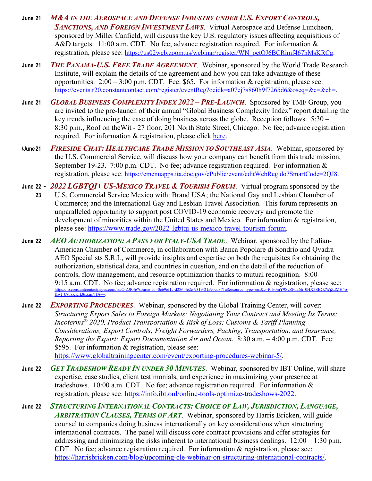- **June 21** *M&A IN THE AEROSPACE AND DEFENSE INDUSTRY UNDER U.S. EXPORT CONTROLS, SANCTIONS, AND FOREIGN INVESTMENT LAWS*. Virtual Aerospace and Defense Luncheon, sponsored by Miller Canfield, will discuss the key U.S. regulatory issues affecting acquisitions of A&D targets. 11:00 a.m. CDT. No fee; advance registration required. For information & registration, please see: https://us02web.zoom.us/webinar/register/WN\_oetOJ6BCRimf467hMsKRCg.
- **June 21** *THE PANAMA-U.S. FREE TRADE AGREEMENT*. Webinar, sponsored by the World Trade Research Institute, will explain the details of the agreement and how you can take advantage of these opportunities.  $2:00 - 3:00$  p.m. CDT. Fee: \$65. For information & registration, please see: https://events.r20.constantcontact.com/register/eventReg?oeidk=a07ej7s860h9f7265d6&oseq=&c=&ch=.
- **June 21** *GLOBAL BUSINESS COMPLEXITY INDEX 2022 – PRE-LAUNCH*. Sponsored by TMF Group, you are invited to the pre-launch of their annual "Global Business Complexity Index" report detailing the key trends influencing the ease of doing business across the globe. Reception follows. 5:30 – 8:30 p.m., Roof on theWit - 27 floor, 201 North State Street, Chicago. No fee; advance registration required. For information & registration, please click here.
- **/June 21** *FIRESIDE CHAT: HEALTHCARE TRADE MISSION TO SOUTHEAST ASIA*. Webinar, sponsored by the U.S. Commercial Service, will discuss how your company can benefit from this trade mission, September 19-23. 7:00 p.m. CDT. No fee; advance registration required. For information & registration, please see: https://emenuapps.ita.doc.gov/ePublic/event/editWebReg.do?SmartCode=2QJ8.
- **June 22** *2022 LGBTQI+ US-MEXICO TRAVEL & TOURISM FORUM*. Virtual program sponsored by the  **23** U.S. Commercial Service Mexico with: Brand USA; the National Gay and Lesbian Chamber of Commerce; and the International Gay and Lesbian Travel Association. This forum represents an unparalleled opportunity to support post COVID-19 economic recovery and promote the development of minorities within the United States and Mexico. For information & registration, please see: https://www.trade.gov/2022-lgbtqi-us-mexico-travel-tourism-forum.
- **June 22** *AEO AUTHORIZATION: A PASS FOR ITALY-USA TRADE*. Webinar. sponsored by the Italian-American Chamber of Commerce, in collaboration with Banca Popolare di Sondrio and Qvadra AEO Specialists S.R.L, will provide insights and expertise on both the requisites for obtaining the authorization, statistical data, and countries in question, and on the detail of the reduction of controls, flow management, and resource optimization thanks to mutual recognition. 8:00 – 9:15 a.m. CDT. No fee; advance registration required. For information & registration, please see: su/OjZJR4g?source\_id=0c69ef1c-d286-4e2c-9319-21a90cd371a8&source\_type=em&c=f0Is0jnY98vZPd26h\_0HX5SBG2WjZdMH4phttps://lp.constantcontactpages<br>Kwt\_b8bzKKrk8pZmN1A==
- **June 22** *EXPORTING PROCEDURES*. Webinar, sponsored by the Global Training Center, will cover: *Structuring Export Sales to Foreign Markets; Negotiating Your Contract and Meeting Its Terms; Incoterms® 2020, Product Transportation & Risk of Loss; Customs & Tariff Planning Considerations; Export Controls; Freight Forwarders, Packing, Transportation, and Insurance; Reporting the Export; Export Documentation Air and Ocean*. 8:30 a.m. – 4:00 p.m. CDT. Fee: \$595. For information & registration, please see: https://www.globaltrainingcenter.com/event/exporting-procedures-webinar-5/.
- **June 22** *GET TRADESHOW READY IN UNDER 30 MINUTES*. Webinar, sponsored by IBT Online, will share expertise, case studies, client testimonials, and experience in maximizing your presence at tradeshows. 10:00 a.m. CDT. No fee; advance registration required. For information  $\&$ registration, please see: https://info.ibt.onl/online-tools-optimize-tradeshows-2022.
- **June 22** *STRUCTURING INTERNATIONAL CONTRACTS: CHOICE OF LAW, JURISDICTION, LANGUAGE, ARBITRATION CLAUSES, TERMS OF ART*. Webinar, sponsored by Harris Bricken, will guide counsel to companies doing business internationally on key considerations when structuring international contracts. The panel will discuss core contract provisions and offer strategies for addressing and minimizing the risks inherent to international business dealings.  $12:00 - 1:30$  p.m. CDT. No fee; advance registration required. For information  $\&$  registration, please see: https://harrisbricken.com/blog/upcoming-cle-webinar-on-structuring-international-contracts/.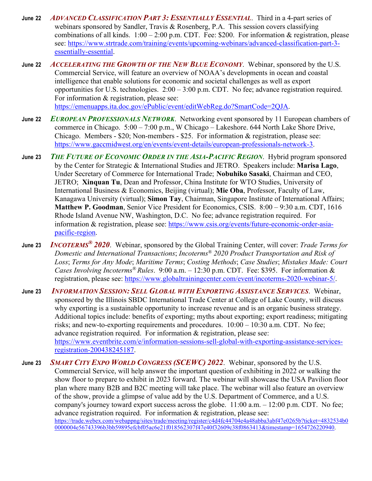- **June 22** *ADVANCED CLASSIFICATION PART 3: ESSENTIALLY ESSENTIAL*. Third in a 4-part series of webinars sponsored by Sandler, Travis & Rosenberg, P.A. This session covers classifying combinations of all kinds.  $1:00 - 2:00$  p.m. CDT. Fee: \$200. For information & registration, please see: https://www.strtrade.com/training/events/upcoming-webinars/advanced-classification-part-3 essentially-essential.
- **June 22** *ACCELERATING THE GROWTH OF THE NEW BLUE ECONOMY*. Webinar, sponsored by the U.S. Commercial Service, will feature an overview of NOAA's developments in ocean and coastal intelligence that enable solutions for economic and societal challenges as well as export opportunities for U.S. technologies. 2:00 – 3:00 p.m. CDT. No fee; advance registration required. For information & registration, please see: https://emenuapps.ita.doc.gov/ePublic/event/editWebReg.do?SmartCode=2QJA.
- **June 22** *EUROPEAN PROFESSIONALS NETWORK*. Networking event sponsored by 11 European chambers of commerce in Chicago. 5:00 – 7:00 p.m., W Chicago – Lakeshore. 644 North Lake Shore Drive, Chicago. Members - \$20; Non-members - \$25. For information & registration, please see: https://www.gaccmidwest.org/en/events/event-details/european-professionals-network-3.
- **June 23** *THE FUTURE OF ECONOMIC ORDER IN THE ASIA-PACIFIC REGION*. Hybrid program sponsored by the Center for Strategic & International Studies and JETRO. Speakers include: **Marisa Lago**, Under Secretary of Commerce for International Trade; **Nobuhiko Sasaki**, Chairman and CEO, JETRO; **Xinquan Tu**, Dean and Professor, China Institute for WTO Studies, University of International Business & Economics, Beijing (virtual); **Mie Oba**, Professor, Faculty of Law, Kanagawa University (virtual); **Simon Tay**, Chairman, Singapore Institute of International Affairs; **Matthew P. Goodman**, Senior Vice President for Economics, CSIS. 8:00 – 9:30 a.m. CDT, 1616 Rhode Island Avenue NW, Washington, D.C. No fee; advance registration required. For information & registration, please see: https://www.csis.org/events/future-economic-order-asiapacific-region.
- **June 23** *INCOTERMS® 2020*. Webinar, sponsored by the Global Training Center, will cover: *Trade Terms for Domestic and International Transactions*; *Incoterms® 2020 Product Transportation and Risk of Loss*; *Terms for Any Mode*; *Maritime Terms*; *Costing Methods*; *Case Studies*; *Mistakes Made: Court Cases Involving Incoterms® Rules*. 9:00 a.m. – 12:30 p.m. CDT. Fee: \$395. For information & registration, please see: https://www.globaltrainingcenter.com/event/incoterms-2020-webinar-5/.
- **June 23** *INFORMATION SESSION: SELL GLOBAL WITH EXPORTING ASSISTANCE SERVICES*. Webinar, sponsored by the Illinois SBDC International Trade Center at College of Lake County, will discuss why exporting is a sustainable opportunity to increase revenue and is an organic business strategy. Additional topics include: benefits of exporting; myths about exporting; export readiness; mitigating risks; and new-to-exporting requirements and procedures.  $10:00 - 10:30$  a.m. CDT. No fee; advance registration required. For information & registration, please see: https://www.eventbrite.com/e/information-sessions-sell-global-with-exporting-assistance-servicesregistration-200438245187.
- **June 23** *SMART CITY EXPO WORLD CONGRESS (SCEWC) 2022*. Webinar, sponsored by the U.S. Commercial Service, will help answer the important question of exhibiting in 2022 or walking the show floor to prepare to exhibit in 2023 forward. The webinar will showcase the USA Pavilion floor plan where many B2B and B2C meeting will take place. The webinar will also feature an overview of the show, provide a glimpse of value add by the U.S. Department of Commerce, and a U.S. company's journey toward export success across the globe.  $11:00$  a.m.  $-12:00$  p.m. CDT. No fee; advance registration required. For information & registration, please see: https://trade.webex.com/webappng/sites/trade/meeting/register/c4d4fc44704e4a48abba3abf47e0265b?ticket=4832534b0 0000004e56743396b3bb59895efcbf05ac6e21f018562307f47e40f32609c38f0863413&timestamp=1654726220940.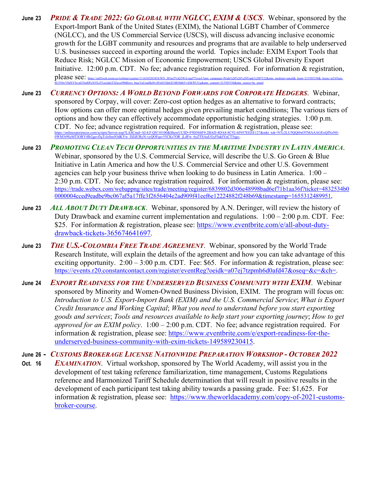- **June 23** *PRIDE & TRADE 2022: GO GLOBAL WITH NGLCC, EXIM & USCS*. Webinar, sponsored by the Export-Import Bank of the United States (EXIM), the National LGBT Chamber of Commerce (NGLCC), and the US Commercial Service (USCS), will discuss advancing inclusive economic growth for the LGBT community and resources and programs that are available to help underserved U.S. businesses succeed in exporting around the world. Topics include: EXIM Export Tools that Reduce Risk; NGLCC Mission of Economic Empowerment; USCS Global Diversity Export Initiative. 12:00 p.m. CDT. No fee; advance registration required. For information & registration, please see: https://us02web.zoom.us/webinar/register/1116545201854/WN\_J85asTVsQ3WAvtgd7Ts 8UiV0wV8dXVSs-pGTml6PxX93LZYgyjtdeiT2ZayzJ9bRkwo\_btgcVgUrq6Ikj9r1JFo0J1fJpGE3tB3bhhVv42KWUUg&utm\_content=215505338&utm\_source=hs\_email.
- **June 23** *CURRENCY OPTIONS: A WORLD BEYOND FORWARDS FOR CORPORATE HEDGERS*. Webinar, sponsored by Corpay, will cover: Zero-cost option hedges as an alternative to forward contracts; How options can offer more optimal hedges given prevailing market conditions; The various tiers of options and how they can effectively accommodate opportunistic hedging strategies. 1:00 p.m. CDT. No fee; advance registration required. For information & registration, please see:  $U$ 5QQi0xOTMAAAGExOfNzN0-0WM3t9SzMTJORY4Ib2gavfJqTclzSm5OdKYw\_DZdURyN-vyQOFqsv55CKs7OR\_jLdFw\_6yZTSAuUGyFIukIYaCT5sgs-.
- **June 23** *PROMOTING CLEAN TECH OPPORTUNITIES IN THE MARITIME INDUSTRY IN LATIN AMERICA*. Webinar, sponsored by the U.S. Commercial Service, will describe the U.S. Go Green & Blue Initiative in Latin America and how the U.S. Commercial Service and other U.S. Government agencies can help your business thrive when looking to do business in Latin America. 1:00 – 2:30 p.m. CDT. No fee; advance registration required. For information & registration, please see: https://trade.webex.com/webappng/sites/trade/meeting/register/6839802d306e48998bad6ef71b1aa36f?ticket=4832534b0 0000004cced9eadbe9bc067af5a17ffe3f2656404e2ad909f41eef6e12224882f248b69&timestamp=1655312489951,
- **June 23** *ALL ABOUT DUTY DRAWBACK*. Webinar, sponsored by A.N. Deringer, will review the history of Duty Drawback and examine current implementation and regulations. 1:00 – 2:00 p.m. CDT. Fee: \$25. For information & registration, please see: https://www.eventbrite.com/e/all-about-dutydrawback-tickets-365674641697.
- **June 23** *THE U.S.-COLOMBIA FREE TRADE AGREEMENT*. Webinar, sponsored by the World Trade Research Institute, will explain the details of the agreement and how you can take advantage of this exciting opportunity.  $2:00 - 3:00$  p.m. CDT. Fee: \$65. For information & registration, please see: https://events.r20.constantcontact.com/register/eventReg?oeidk=a07ej7tzpmh6d0afd47&oseq=&c=&ch=.
- **June 24** *EXPORT READINESS FOR THE UNDERSERVED BUSINESS COMMUNITY WITH EXIM*. Webinar sponsored by Minority and Women-Owned Business Division, EXIM. The program will focus on: *Introduction to U.S. Export-Import Bank (EXIM) and the U.S. Commercial Service*; *What is Export Credit Insurance and Working Capital*; *What you need to understand before you start exporting goods and services*; *Tools and resources available to help start your exporting journey*; *How to get approved for an EXIM policy*. 1:00 – 2:00 p.m. CDT. No fee; advance registration required. For information & registration, please see: https://www.eventbrite.com/e/export-readiness-for-theunderserved-business-community-with-exim-tickets-149589230415.
- **June 26** *CUSTOMS BROKERAGE LICENSE NATIONWIDE PREPARATION WORKSHOP - OCTOBER 2022*
- **Oct. 16** *EXAMINATION*. Virtual workshop, sponsored by The World Academy, will assist you in the development of test taking reference familiarization, time management, Customs Regulations reference and Harmonized Tariff Schedule determination that will result in positive results in the development of each participant test taking ability towards a passing grade. Fee: \$1,625. For information & registration, please see: https://www.theworldacademy.com/copy-of-2021-customsbroker-course.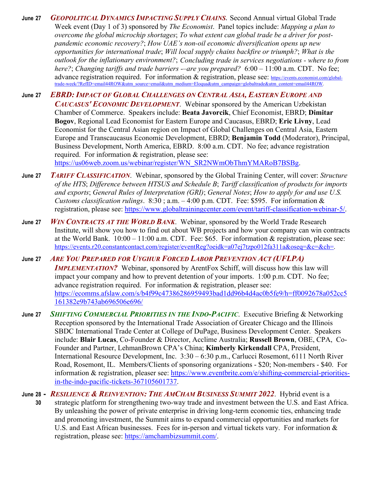- **June 27** *GEOPOLITICAL DYNAMICS IMPACTING SUPPLY CHAINS***.** Second Annual virtual Global Trade Week event (Day 1 of 3) sponsored by *The Economist*. Panel topics include: *Mapping a plan to overcome the global microchip shortages*; *To what extent can global trade be a driver for postpandemic economic recovery?*; *How UAE's non-oil economic diversification opens up new opportunities for international trade*; *Will local supply chains backfire or triumph?*; *What is the outlook for the inflationary environment?*; *Concluding trade in services negotiations - where to from here?*; *Changing tariffs and trade barriers -–are you prepared?* 6:00 – 11:00 a.m. CDT. No fee; advance registration required. For information & registration, please see: https://events.economist.com/globaltrade-week/?RefID=email44ROW&utm\_source=email&utm\_medium=Eloqua&utm\_campaign=globaltrade&utm\_content=email44ROW.
- **June 27** *EBRD: IMPACT OF GLOBAL CHALLENGES ON CENTRAL ASIA, EASTERN EUROPE AND CAUCASUS' ECONOMIC DEVELOPMENT*. Webinar sponsored by the American Uzbekistan Chamber of Commerce. Speakers include: **Beata Javorcik**, Chief Economist, EBRD; **Dimitar Bogov**, Regional Lead Economist for Eastern Europe and Caucasus, EBRD; **Eric Livny**, Lead Economist for the Central Asian region on Impact of Global Challenges on Central Asia, Eastern Europe and Transcaucasus Economic Development, EBRD; **Benjamin Todd** (Moderator), Principal, Business Development, North America, EBRD. 8:00 a.m. CDT. No fee; advance registration required. For information & registration, please see: https://us06web.zoom.us/webinar/register/WN\_SR2NWmObThmYMARoB7BSBg.
- **June 27** *TARIFF CLASSIFICATION*. Webinar, sponsored by the Global Training Center, will cover: *Structure of the HTS*; *Difference between HTSUS and Schedule B*; *Tariff classification of products for imports and exports*; *General Rules of Interpretation (GRI)*; *General Notes*; *How to apply for and use U.S. Customs classification rulings*. 8:30 ; a.m. – 4:00 p.m. CDT. Fee: \$595. For information & registration, please see: https://www.globaltrainingcenter.com/event/tariff-classification-webinar-5/.
- **June 27** *WIN CONTRACTS AT THE WORLD BANK*. Webinar, sponsored by the World Trade Research Institute, will show you how to find out about WB projects and how your company can win contracts at the World Bank.  $10:00 - 11:00$  a.m. CDT. Fee: \$65. For information & registration, please see: https://events.r20.constantcontact.com/register/eventReg?oeidk=a07ej7tzpo012fa311a&oseq=&c=&ch=.
- **June 27** *ARE YOU PREPARED FOR UYGHUR FORCED LABOR PREVENTION ACT (UFLPA)* **IMPLEMENTATION?** Webinar, sponsored by ArentFox Schiff, will discuss how this law will impact your company and how to prevent detention of your imports. 1:00 p.m. CDT. No fee; advance registration required. For information & registration, pleaser see: https://ecomms.afslaw.com/s/b4f99c47386286959493bad1dd96b4d4ac0b5fe9/h=ff0092678a052cc5 161382e9b743ab696506e696/
- **June 27** *SHIFTING COMMERCIAL PRIORITIES IN THE INDO-PACIFIC*. Executive Briefing & Networking Reception sponsored by the International Trade Association of Greater Chicago and the Illinois SBDC International Trade Center at College of DuPage, Business Development Center. Speakers include: **Blair Lucas**, Co-Founder & Director, Acclime Australia; **Russell Brown**, OBE, CPA, Co-Founder and Partner, LehmanBrown CPA's China; **Kimberly Kirkendall** CPA, President, International Resource Development, Inc. 3:30 – 6:30 p.m., Carlucci Rosemont, 6111 North River Road, Rosemont, IL. Members/Clients of sponsoring organizations - \$20; Non-members - \$40. For information & registration, pleaser see: https://www.eventbrite.com/e/shifting-commercial-prioritiesin-the-indo-pacific-tickets-367105601737.
- **June 28** *RESILIENCE & REINVENTION: THE AMCHAM BUSINESS SUMMIT 2022*. Hybrid event is a  **30** strategic platform for strengthening two-way trade and investment between the U.S. and East Africa. By unleashing the power of private enterprise in driving long-term economic ties, enhancing trade and promoting investment, the Summit aims to expand commercial opportunities and markets for U.S. and East African businesses. Fees for in-person and virtual tickets vary. For information & registration, please see: https://amchambizsummit.com/.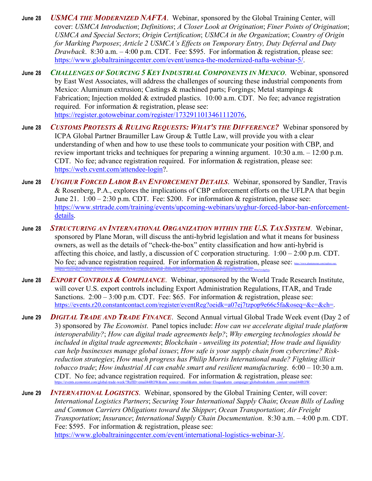- **June 28** *USMCA THE MODERNIZED NAFTA*. Webinar, sponsored by the Global Training Center, will cover: *USMCA Introduction*; *Definitions*; *A Closer Look at Origination*; *Finer Points of Origination*; *USMCA and Special Sectors*; *Origin Certification*; *USMCA in the Organization*; *Country of Origin for Marking Purposes*; *Article 2 USMCA's Effects on Temporary Entry, Duty Deferral and Duty Drawback*. 8:30 a.m. – 4:00 p.m. CDT. Fee: \$595. For information & registration, please see: https://www.globaltrainingcenter.com/event/usmca-the-modernized-nafta-webinar-5/.
- **June 28** *CHALLENGES OF SOURCING 5 KEY INDUSTRIAL COMPONENTS IN MEXICO*. Webinar, sponsored by East West Associates, will address the challenges of sourcing these industrial components from Mexico: Aluminum extrusion; Castings & machined parts; Forgings; Metal stampings & Fabrication; Injection molded & extruded plastics. 10:00 a.m. CDT. No fee; advance registration required. For information & registration, please see: https://register.gotowebinar.com/register/1732911013461112076,
- **June 28** *CUSTOMS PROTESTS & RULING REQUESTS: WHAT'S THE DIFFERENCE?* Webinar sponsored by ICPA Global Partner Braumiller Law Group & Tuttle Law, will provide you with a clear understanding of when and how to use these tools to communicate your position with CBP, and review important tricks and techniques for preparing a winning argument. 10:30 a.m. – 12:00 p.m. CDT. No fee; advance registration required. For information & registration, please see: https://web.cvent.com/attendee-login?.
- **June 28** *UYGHUR FORCED LABOR BAN ENFORCEMENT DETAILS*. Webinar, sponsored by Sandler, Travis & Rosenberg, P.A., explores the implications of CBP enforcement efforts on the UFLPA that begin June 21.  $1:00 - 2:30$  p.m. CDT. Fee: \$200. For information & registration, please see: https://www.strtrade.com/training/events/upcoming-webinars/uyghur-forced-labor-ban-enforcementdetails.
- **June 28** *STRUCTURING AN INTERNATIONAL ORGANIZATION WITHIN THE U.S. TAX SYSTEM*. Webinar, sponsored by Plane Moran, will discuss the anti-hybrid legislation and what it means for business owners, as well as the details of "check-the-box" entity classification and how anti-hybrid is affecting this choice, and lastly, a discussion of C corporation structuring.  $1:00 - 2:00$  p.m. CDT. No fee; advance registration required. For information  $\&$  registration, please see:  $\frac{1}{\text{log}(X)}$ thinking/events/2022/06/structuring-an-international-organization-within-the-us-tax-system?utm\_source=Invite\_1&utm\_medium=Email&utm\_campaign=WB-TX-2022-06-28-INTL-Structuring\_Webinar-

1979&utm\_content=Main\_CTA&mkt\_tok=OTQ2LUNUWS02MDEAAAGE7NWexned8kdeI8ZyHwDH56Sb\_zlxnMZrOnOHuHH9ygAz4ZkqBYI\_hCqZo0wNep6EOWT2qS446afc50j2vZUc8YLi0Lw\_0Om7ovdqs9ou.

- **June 28** *EXPORT CONTROLS & COMPLIANCE*. Webinar, sponsored by the World Trade Research Institute, will cover U.S. export controls including Export Administration Regulations, ITAR, and Trade Sanctions.  $2:00 - 3:00$  p.m. CDT. Fee: \$65. For information & registration, please see: https://events.r20.constantcontact.com/register/eventReg?oeidk=a07ej7tzpop9e66c5fa&oseq=&c=&ch=.
- **June 29** *DIGITAL TRADE AND TRADE FINANCE*. Second Annual virtual Global Trade Week event (Day 2 of 3) sponsored by *The Economist*. Panel topics include: *How can we accelerate digital trade platform interoperability?*; *How can digital trade agreements help?*; *Why emerging technologies should be included in digital trade agreements*; *Blockchain - unveiling its potential*; *How trade and liquidity can help businesses manage global issues*; *How safe is your supply chain from cybercrime? Riskreduction strategies*; *How much progress has Philip Morris International made? Fighting illicit tobacco trade*; *How industrial AI can enable smart and resilient manufacturing*. 6:00 – 10:30 a.m. CDT. No fee; advance registration required. For information & registration, please see: https://events.economist.com/global-trade-week/?RefID=email44ROW&utm\_source=email&utm\_medium=Eloqua&utm\_campaign=globaltrade&utm\_content=email44ROW.
- **June 29** *INTERNATIONAL LOGISTICS*. Webinar, sponsored by the Global Training Center, will cover: *International Logistics Partners*; *Securing Your International Supply Chain*; *Ocean Bills of Lading and Common Carriers Obligations toward the Shipper*; *Ocean Transportation*; *Air Freight Transportation*; *Insurance*; *International Supply Chain Documentation*. 8:30 a.m. – 4:00 p.m. CDT. Fee: \$595. For information & registration, please see: https://www.globaltrainingcenter.com/event/international-logistics-webinar-3/.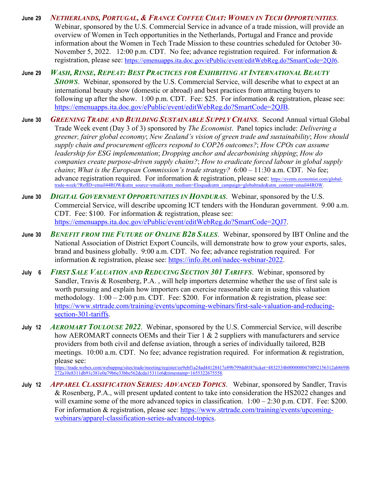- **June 29** *NETHERLANDS, PORTUGAL, & FRANCE COFFEE CHAT: WOMEN IN TECH OPPORTUNITIES*. Webinar, sponsored by the U.S. Commercial Service in advance of a trade mission, will provide an overview of Women in Tech opportunities in the Netherlands, Portugal and France and provide information about the Women in Tech Trade Mission to these countries scheduled for October 30- November 5, 2022. 12:00 p.m. CDT. No fee; advance registration required. For information  $\&$ registration, please see: https://emenuapps.ita.doc.gov/ePublic/event/editWebReg.do?SmartCode=2QJ6.
- **June 29** *WASH, RINSE, REPEAT: BEST PRACTICES FOR EXHIBITING AT INTERNATIONAL BEAUTY SHOWS*. Webinar, sponsored by the U.S. Commercial Service, will describe what to expect at an international beauty show (domestic or abroad) and best practices from attracting buyers to following up after the show. 1:00 p.m. CDT. Fee: \$25. For information & registration, please see: https://emenuapps.ita.doc.gov/ePublic/event/editWebReg.do?SmartCode=2QJB.
- **June 30** *GREENING TRADE AND BUILDING SUSTAINABLE SUPPLY CHAINS*. Second Annual virtual Global Trade Week event (Day 3 of 3) sponsored by *The Economist*. Panel topics include: *Delivering a greener, fairer global economy*; *New Zealand's vision of green trade and sustainability*; *How should supply chain and procurement officers respond to COP26 outcomes?*; *How CPOs can assume leadership for ESG implementation*; *Dropping anchor and decarbonising shipping*; *How do companies create purpose-driven supply chains?*; *How to eradicate forced labour in global supply chains*; *What is the European Commission's trade strategy?* 6:00 – 11:30 a.m. CDT. No fee; advance registration required. For information & registration, please see: https://events.economist.com/globaltrade-week/?RefID=email44ROW&utm\_source=email&utm\_medium=Eloqua&utm\_campaign=globaltrade&utm\_content=email44ROW.
- **June 30** *DIGITAL GOVERNMENT OPPORTUNITIES IN HONDURAS*. Webinar, sponsored by the U.S. Commercial Service, will describe upcoming ICT tenders with the Honduran government. 9:00 a.m. CDT. Fee: \$100. For information & registration, please see: https://emenuapps.ita.doc.gov/ePublic/event/editWebReg.do?SmartCode=2QJ7.
- **June 30** *BENEFIT FROM THE FUTURE OF ONLINE B2B SALES*. Webinar, sponsored by IBT Online and the National Association of District Export Councils, will demonstrate how to grow your exports, sales, brand and business globally. 9:00 a.m. CDT. No fee; advance registration required. For information & registration, please see: https://info.ibt.onl/nadec-webinar-2022.
- **July 6** *FIRST SALE VALUATION AND REDUCING SECTION 301 TARIFFS*. Webinar, sponsored by Sandler, Travis & Rosenberg, P.A. , will help importers determine whether the use of first sale is worth pursuing and explain how importers can exercise reasonable care in using this valuation methodology.  $1:00 - 2:00$  p.m. CDT. Fee: \$200. For information & registration, please see: https://www.strtrade.com/training/events/upcoming-webinars/first-sale-valuation-and-reducingsection-301-tariffs.
- **July 12** *AEROMART TOULOUSE 2022*. Webinar, sponsored by the U.S. Commercial Service, will describe how AEROMART connects OEMs and their Tier 1 & 2 suppliers with manufacturers and service providers from both civil and defense aviation, through a series of individually tailored, B2B meetings. 10:00 a.m. CDT. No fee; advance registration required. For information & registration, please see:

https://trade.webex.com/webappng/sites/trade/meeting/register/ee9ebf1a24ad44128417e89b799dd8f4?ticket=4832534b0000000470092156312ab869f6 272a10e8311db91c381e0a79b6e33bbe562dcda15311e6&timestamp=1655322675558.

**July 12** *APPAREL CLASSIFICATION SERIES: ADVANCED TOPICS*. Webinar, sponsored by Sandler, Travis & Rosenberg, P.A., will present updated content to take into consideration the HS2022 changes and will examine some of the more advanced topics in classification.  $1:00 - 2:30$  p.m. CDT. Fee: \$200. For information & registration, please see: https://www.strtrade.com/training/events/upcomingwebinars/apparel-classification-series-advanced-topics.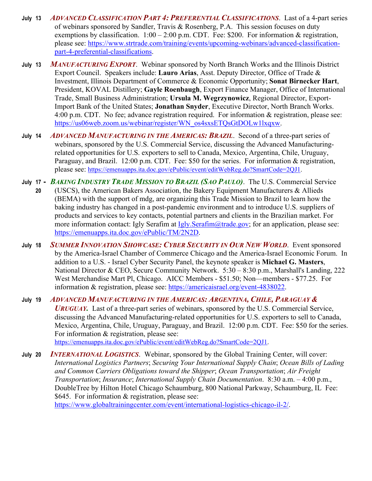- **July 13** *ADVANCED CLASSIFICATION PART 4: PREFERENTIAL CLASSIFICATIONS*. Last of a 4-part series of webinars sponsored by Sandler, Travis & Rosenberg, P.A. This session focuses on duty exemptions by classification.  $1:00 - 2:00$  p.m. CDT. Fee: \$200. For information & registration, please see: https://www.strtrade.com/training/events/upcoming-webinars/advanced-classificationpart-4-preferential-classifications.
- **July 13** *MANUFACTURING EXPORT*. Webinar sponsored by North Branch Works and the Illinois District Export Council. Speakers include: **Lauro Arias**, Asst. Deputy Director, Office of Trade & Investment, Illinois Department of Commerce & Economic Opportunity; **Sonat Birnecker Hart**, President, KOVAL Distillery; **Gayle Roenbaugh**, Export Finance Manager, Office of International Trade, Small Business Administration; **Ursula M. Wegrzynowicz**, Regional Director, Export-Import Bank of the United States; **Jonathan Snyder**, Executive Director, North Branch Works. 4:00 p.m. CDT. No fee; advance registration required. For information & registration, please see: https://us06web.zoom.us/webinar/register/WN\_os4sxsETQsGtDOLw1lxqxw.
- **July 14** *ADVANCED MANUFACTURING IN THE AMERICAS: BRAZIL*. Second of a three-part series of webinars, sponsored by the U.S. Commercial Service, discussing the Advanced Manufacturingrelated opportunities for U.S. exporters to sell to Canada, Mexico, Argentina, Chile, Uruguay, Paraguay, and Brazil. 12:00 p.m. CDT. Fee: \$50 for the series. For information & registration, please see: https://emenuapps.ita.doc.gov/ePublic/event/editWebReg.do?SmartCode=2QJ1.
- **July 17** *BAKING INDUSTRY TRADE MISSION TO BRAZIL (SAO PAULO)*. The U.S. Commercial Service  **20** (USCS), the American Bakers Association, the Bakery Equipment Manufacturers & Allieds (BEMA) with the support of mdg, are organizing this Trade Mission to Brazil to learn how the baking industry has changed in a post-pandemic environment and to introduce U.S. suppliers of products and services to key contacts, potential partners and clients in the Brazilian market. For more information contact: Igly Serafim at Igly.Serafim@trade.gov; for an application, please see: https://emenuapps.ita.doc.gov/ePublic/TM/2N2D.
- **July 18** *SUMMER INNOVATION SHOWCASE: CYBER SECURITY IN OUR NEW WORLD*. Event sponsored by the America-Israel Chamber of Commerce Chicago and the America-Israel Economic Forum. In addition to a U.S. - Israel Cyber Security Panel, the keynote speaker is **Michael G. Masters**, National Director & CEO, Secure Community Network. 5:30 – 8:30 p.m., Marshall's Landing, 222 West Merchandise Mart Pl, Chicago. AICC Members - \$51.50; Non—members - \$77.25. For information & registration, please see: https://americaisrael.org/event-4838022.
- **July 19** *ADVANCED MANUFACTURING IN THE AMERICAS: ARGENTINA, CHILE, PARAGUAY & URUGUAY.* Last of a three-part series of webinars, sponsored by the U.S. Commercial Service, discussing the Advanced Manufacturing-related opportunities for U.S. exporters to sell to Canada, Mexico, Argentina, Chile, Uruguay, Paraguay, and Brazil. 12:00 p.m. CDT. Fee: \$50 for the series. For information & registration, please see: https://emenuapps.ita.doc.gov/ePublic/event/editWebReg.do?SmartCode=2QJ1.
- **July 20** *INTERNATIONAL LOGISTICS*. Webinar, sponsored by the Global Training Center, will cover: *International Logistics Partners*; *Securing Your International Supply Chain*; *Ocean Bills of Lading and Common Carriers Obligations toward the Shipper*; *Ocean Transportation*; *Air Freight Transportation*; *Insurance*; *International Supply Chain Documentation*. 8:30 a.m. – 4:00 p.m., DoubleTree by Hilton Hotel Chicago Schaumburg, 800 National Parkway, Schaumburg, IL Fee: \$645. For information & registration, please see: https://www.globaltrainingcenter.com/event/international-logistics-chicago-il-2/.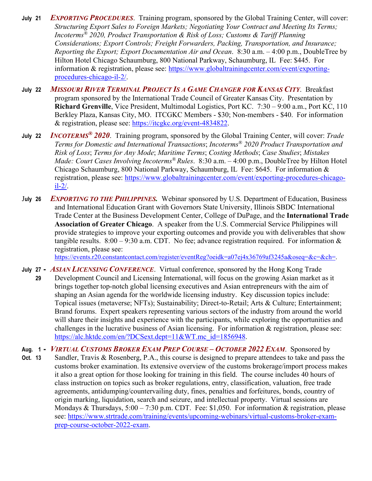- **July 21** *EXPORTING PROCEDURES*. Training program, sponsored by the Global Training Center, will cover: *Structuring Export Sales to Foreign Markets; Negotiating Your Contract and Meeting Its Terms; Incoterms® 2020, Product Transportation & Risk of Loss; Customs & Tariff Planning Considerations; Export Controls; Freight Forwarders, Packing, Transportation, and Insurance; Reporting the Export; Export Documentation Air and Ocean*. 8:30 a.m. – 4:00 p.m., DoubleTree by Hilton Hotel Chicago Schaumburg, 800 National Parkway, Schaumburg, IL Fee: \$445. For information & registration, please see: https://www.globaltrainingcenter.com/event/exportingprocedures-chicago-il-2/.
- **July 22** *MISSOURI RIVER TERMINAL PROJECT IS A GAME CHANGER FOR KANSAS CITY*. Breakfast program sponsored by the International Trade Council of Greater Kansas City. Presentation by **Richard Grenville**, Vice President, Multimodal Logistics, Port KC. 7:30 – 9:00 a.m., Port KC, 110 Berkley Plaza, Kansas City, MO. ITCGKC Members - \$30; Non-members - \$40. For information & registration, please see: https://itcgkc.org/event-4834822.
- **July 22** *INCOTERMS® 2020*. Training program, sponsored by the Global Training Center, will cover: *Trade Terms for Domestic and International Transactions*; *Incoterms® 2020 Product Transportation and Risk of Loss*; *Terms for Any Mode*; *Maritime Terms*; *Costing Methods*; *Case Studies*; *Mistakes Made: Court Cases Involving Incoterms® Rules*. 8:30 a.m. – 4:00 p.m., DoubleTree by Hilton Hotel Chicago Schaumburg, 800 National Parkway, Schaumburg, IL Fee: \$645. For information & registration, please see: https://www.globaltrainingcenter.com/event/exporting-procedures-chicagoil-2/.
- J**uly 26** *EXPORTING TO THE PHILIPPINES.*Webinar sponsored by U.S. Department of Education, Business and International Education Grant with Governors State University, Illinois SBDC International Trade Center at the Business Development Center, College of DuPage, and the **International Trade Association of Greater Chicago**. A speaker from the U.S. Commercial Service Philippines will provide strategies to improve your exporting outcomes and provide you with deliverables that show tangible results.  $8:00 - 9:30$  a.m. CDT. No fee; advance registration required. For information & registration, please see:

https://events.r20.constantcontact.com/register/eventReg?oeidk=a07ej4x36769af3245a&oseq=&c=&ch=.

- **July 27** *ASIAN LICENSING CONFERENCE*. Virtual conference, sponsored by the Hong Kong Trade  **29** Development Council and Licensing International, will focus on the growing Asian market as it brings together top-notch global licensing executives and Asian entrepreneurs with the aim of shaping an Asian agenda for the worldwide licensing industry. Key discussion topics include: Topical issues (metaverse; NFTs); Sustainability; Direct-to-Retail; Arts & Culture; Entertainment; Brand forums. Expert speakers representing various sectors of the industry from around the world will share their insights and experience with the participants, while exploring the opportunities and challenges in the lucrative business of Asian licensing. For information  $\&$  registration, please see: https://alc.hktdc.com/en/?DCSext.dept=11&WT.mc\_id=1856948.
- **Aug. 1** *VIRTUAL CUSTOMS BROKER EXAM PREP COURSE – OCTOBER 2022 EXAM*. Sponsored by **Oct. 13** Sandler, Travis & Rosenberg, P.A., this course is designed to prepare attendees to take and pass the customs broker examination. Its extensive overview of the customs brokerage/import process makes it also a great option for those looking for training in this field. The course includes 40 hours of class instruction on topics such as broker regulations, entry, classification, valuation, free trade agreements, antidumping/countervailing duty, fines, penalties and forfeitures, bonds, country of origin marking, liquidation, search and seizure, and intellectual property. Virtual sessions are Mondays & Thursdays,  $5:00 - 7:30$  p.m. CDT. Fee: \$1,050. For information & registration, please see: https://www.strtrade.com/training/events/upcoming-webinars/virtual-customs-broker-examprep-course-october-2022-exam.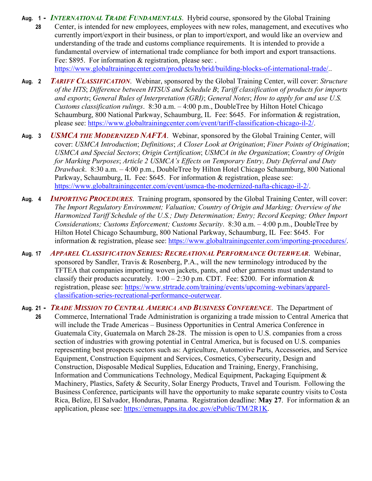**Aug. 1 -** *INTERNATIONAL TRADE FUNDAMENTALS*. Hybrid course, sponsored by the Global Training  **28** Center, is intended for new employees, employees with new roles, management, and executives who currently import/export in their business, or plan to import/export, and would like an overview and understanding of the trade and customs compliance requirements. It is intended to provide a fundamental overview of international trade compliance for both import and export transactions. Fee: \$895. For information & registration, please see: . https://www.globaltrainingcenter.com/products/hybrid/building-blocks-of-international-trade/..

- **Aug. 2** *TARIFF CLASSIFICATION*. Webinar, sponsored by the Global Training Center, will cover: *Structure of the HTS*; *Difference between HTSUS and Schedule B*; *Tariff classification of products for imports and exports*; *General Rules of Interpretation (GRI)*; *General Notes*; *How to apply for and use U.S. Customs classification rulings*. 8:30 a.m. – 4:00 p.m., DoubleTree by Hilton Hotel Chicago Schaumburg, 800 National Parkway, Schaumburg, IL Fee: \$645. For information & registration, please see: https://www.globaltrainingcenter.com/event/tariff-classification-chicago-il-2/.
- **Aug. 3** *USMCA THE MODERNIZED NAFTA*. Webinar, sponsored by the Global Training Center, will cover: *USMCA Introduction*; *Definitions*; *A Closer Look at Origination*; *Finer Points of Origination*; *USMCA and Special Sectors*; *Origin Certification*; *USMCA in the Organization*; *Country of Origin for Marking Purposes*; *Article 2 USMCA's Effects on Temporary Entry, Duty Deferral and Duty Drawback*. 8:30 a.m. – 4:00 p.m., DoubleTree by Hilton Hotel Chicago Schaumburg, 800 National Parkway, Schaumburg, IL Fee: \$645. For information & registration, please see: https://www.globaltrainingcenter.com/event/usmca-the-modernized-nafta-chicago-il-2/.
- **Aug. 4** *IMPORTING PROCEDURES*. Training program, sponsored by the Global Training Center, will cover: *The Import Regulatory Environment; Valuation; Country of Origin and Marking; Overview of the Harmonized Tariff Schedule of the U.S.; Duty Determination; Entry; Record Keeping; Other Import Considerations; Customs Enforcement; Customs Security*. 8:30 a.m. – 4:00 p.m., DoubleTree by Hilton Hotel Chicago Schaumburg, 800 National Parkway, Schaumburg, IL Fee: \$645. For information & registration, please see: https://www.globaltrainingcenter.com/importing-procedures/.
- **Aug. 17** *APPAREL CLASSIFICATION SERIES: RECREATIONAL PERFORMANCE OUTERWEAR*. Webinar, sponsored by Sandler, Travis & Rosenberg, P.A., will the new terminology introduced by the TFTEA that companies importing woven jackets, pants, and other garments must understand to classify their products accurately.  $1:00 - 2:30$  p.m. CDT. Fee: \$200. For information & registration, please see: https://www.strtrade.com/training/events/upcoming-webinars/apparelclassification-series-recreational-performance-outerwear.
- **Aug. 21** *TRADE MISSION TO CENTRAL AMERICA AND BUSINESS CONFERENCE*. The Department of **26** Commerce, International Trade Administration is organizing a trade mission to Central America that will include the Trade Americas – Business Opportunities in Central America Conference in Guatemala City, Guatemala on March 28-28. The mission is open to U.S. companies from a cross section of industries with growing potential in Central America, but is focused on U.S. companies representing best prospects sectors such as: Agriculture, Automotive Parts, Accessories, and Service Equipment, Construction Equipment and Services, Cosmetics, Cybersecurity, Design and Construction, Disposable Medical Supplies, Education and Training, Energy, Franchising, Information and Communications Technology, Medical Equipment, Packaging Equipment & Machinery, Plastics, Safety & Security, Solar Energy Products, Travel and Tourism. Following the Business Conference, participants will have the opportunity to make separate country visits to Costa Rica, Belize, El Salvador, Honduras, Panama. Registration deadline: **May 27**. For information & an application, please see: https://emenuapps.ita.doc.gov/ePublic/TM/2R1K.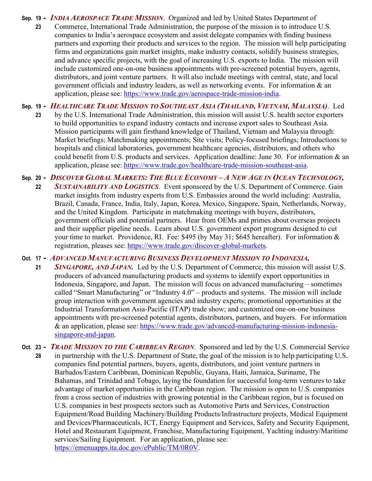**Sep. 19 -** *INDIA AEROSPACE TRADE MISSION*. Organized and led by United States Department of  **23** Commerce, International Trade Administration, the purpose of the mission is to introduce U.S. companies to India's aerospace ecosystem and assist delegate companies with finding business partners and exporting their products and services to the region. The mission will help participating firms and organizations gain market insights, make industry contacts, solidify business strategies, and advance specific projects, with the goal of increasing U.S. exports to India. The mission will include customized one-on-one business appointments with pre-screened potential buyers, agents, distributors, and joint venture partners. It will also include meetings with central, state, and local government officials and industry leaders, as well as networking events. For information & an application, please see: https://www.trade.gov/aerospace-trade-mission-india.

**Sep. 19 -** *HEALTHCARE TRADE MISSION TO SOUTHEAST ASIA (THAILAND, VIETNAM, MALAYSIA)*. Led  **23** by the U.S. International Trade Administration, this mission will assist U.S. health sector exporters to build opportunities to expand industry contacts and increase export sales to Southeast Asia. Mission participants will gain firsthand knowledge of Thailand, Vietnam and Malaysia through: Market briefings; Matchmaking appointments; Site visits; Policy-focused briefings; Introductions to hospitals and clinical laboratories, government healthcare agencies, distributors, and others who could benefit from U.S. products and services. Application deadline: June 30. For information & an application, please see: https://www.trade.gov/healthcare-trade-mission-southeast-asia.

**Sep. 20 -** *DISCOVER GLOBAL MARKETS: THE BLUE ECONOMY – A NEW AGE IN OCEAN TECHNOLOGY,*

 **22** *SUSTAINABILITY AND LOGISTICS*. Event sponsored by the U.S. Department of Commerce. Gain market insights from industry experts from U.S. Embassies around the world including: Australia, Brazil, Canada, France, India, Italy, Japan, Korea, Mexico, Singapore, Spain, Netherlands, Norway, and the United Kingdom. Participate in matchmaking meetings with buyers, distributors, government officials and potential partners. Hear from OEMs and primes about overseas projects and their supplier pipeline needs. Learn about U.S. government export programs designed to cut your time to market. Providence, RI. Fee: \$495 (by May 31; \$645 hereafter). For information & registration, pleases see: https://www.trade.gov/discover-global-markets.

**Oct. 17 -** *ADVANCED MANUFACTURING BUSINESS DEVELOPMENT MISSION TO INDONESIA,*

- **21** *SINGAPORE, AND JAPAN.* Led by the U.S. Department of Commerce, this mission will assist U.S. producers of advanced manufacturing products and systems to identify export opportunities in Indonesia, Singapore, and Japan. The mission will focus on advanced manufacturing – sometimes called "Smart Manufacturing" or "Industry 4.0" – products and systems. The mission will include group interaction with government agencies and industry experts; promotional opportunities at the Industrial Transformation Asia-Pacific (ITAP) trade show; and customized one-on-one business appointments with pre-screened potential agents, distributors, partners, and buyers. For information & an application, please see: https://www.trade.gov/advanced-manufacturing-mission-indonesiasingapore-and-japan.
- **Oct. 23** *TRADE MISSION TO THE CARIBBEAN REGION*. Sponsored and led by the U.S. Commercial Service  **28** in partnership with the U.S. Department of State, the goal of the mission is to help participating U.S. companies find potential partners, buyers, agents, distributors, and joint venture partners in Barbados/Eastern Caribbean, Dominican Republic, Guyana, Haiti, Jamaica, Suriname, The Bahamas, and Trinidad and Tobago, laying the foundation for successful long-term ventures to take advantage of market opportunities in the Caribbean region. The mission is open to U.S. companies from a cross section of industries with growing potential in the Caribbean region, but is focused on U.S. companies in best prospects sectors such as Automotive Parts and Services, Construction Equipment/Road Building Machinery/Building Products/Infrastructure projects, Medical Equipment and Devices/Pharmaceuticals, ICT, Energy Equipment and Services, Safety and Security Equipment, Hotel and Restaurant Equipment, Franchise, Manufacturing Equipment, Yachting industry/Maritime services/Sailing Equipment. For an application, please see: https://emenuapps.ita.doc.gov/ePublic/TM/0R0V.